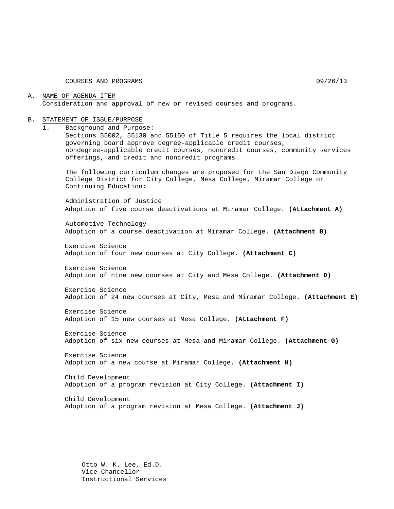COURSES AND PROGRAMS 09/26/13

## A. NAME OF AGENDA ITEM Consideration and approval of new or revised courses and programs.

#### B. STATEMENT OF ISSUE/PURPOSE

1. Background and Purpose:

Sections 55002, 55130 and 55150 of Title 5 requires the local district governing board approve degree-applicable credit courses, nondegree-applicable credit courses, noncredit courses, community services offerings, and credit and noncredit programs.

The following curriculum changes are proposed for the San Diego Community College District for City College, Mesa College, Miramar College or Continuing Education:

Administration of Justice Adoption of five course deactivations at Miramar College. **(Attachment A)**

Automotive Technology Adoption of a course deactivation at Miramar College. **(Attachment B)**

Exercise Science Adoption of four new courses at City College. **(Attachment C)**

Exercise Science Adoption of nine new courses at City and Mesa College. **(Attachment D)**

Exercise Science Adoption of 24 new courses at City, Mesa and Miramar College. **(Attachment E)**

Exercise Science Adoption of 15 new courses at Mesa College. **(Attachment F)**

Exercise Science Adoption of six new courses at Mesa and Miramar College. **(Attachment G)**

Exercise Science Adoption of a new course at Miramar College. **(Attachment H)**

Child Development Adoption of a program revision at City College. **(Attachment I)**

Child Development Adoption of a program revision at Mesa College. **(Attachment J)**

Otto W. K. Lee, Ed.D. Vice Chancellor Instructional Services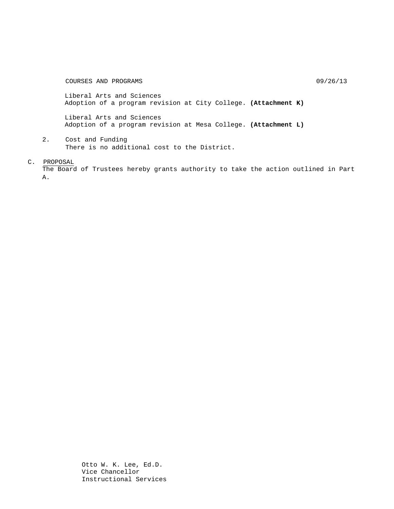COURSES AND PROGRAMS 09/26/13

Liberal Arts and Sciences Adoption of a program revision at City College. **(Attachment K)**

Liberal Arts and Sciences Adoption of a program revision at Mesa College. **(Attachment L)**

2. Cost and Funding There is no additional cost to the District.

C. PROPOSAL

The Board of Trustees hereby grants authority to take the action outlined in Part A.

> Otto W. K. Lee, Ed.D. Vice Chancellor Instructional Services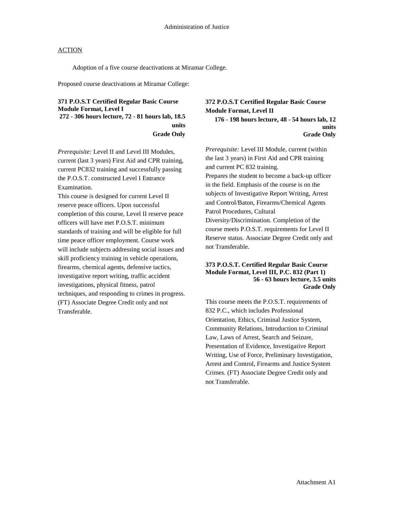Adoption of a five course deactivations at Miramar College.

Proposed course deactivations at Miramar College:

# **371 P.O.S.T Certified Regular Basic Course Module Format, Level I 272 - 306 hours lecture, 72 - 81 hours lab, 18.5 units Grade Only**

*Prerequisite:* Level II and Level III Modules, current (last 3 years) First Aid and CPR training, current PC832 training and successfully passing the P.O.S.T. constructed Level I Entrance Examination.

This course is designed for current Level II reserve peace officers. Upon successful completion of this course, Level II reserve peace officers will have met P.O.S.T. minimum standards of training and will be eligible for full time peace officer employment. Course work will include subjects addressing social issues and skill proficiency training in vehicle operations, firearms, chemical agents, defensive tactics, investigative report writing, traffic accident investigations, physical fitness, patrol techniques, and responding to crimes in progress. (FT) Associate Degree Credit only and not Transferable.

**372 P.O.S.T Certified Regular Basic Course Module Format, Level II 176 - 198 hours lecture, 48 - 54 hours lab, 12 units Grade Only** 

*Prerequisite:* Level III Module, current (within the last 3 years) in First Aid and CPR training and current PC 832 training. Prepares the student to become a back-up officer in the field. Emphasis of the course is on the subjects of Investigative Report Writing, Arrest and Control/Baton, Firearms/Chemical Agents Patrol Procedures, Cultural Diversity/Discrimination. Completion of the course meets P.O.S.T. requirements for Level II Reserve status. Associate Degree Credit only and not Transferable.

## **373 P.O.S.T. Certified Regular Basic Course Module Format, Level III, P.C. 832 (Part 1) 56 - 63 hours lecture, 3.5 units Grade Only**

This course meets the P.O.S.T. requirements of 832 P.C., which includes Professional Orientation, Ethics, Criminal Justice System, Community Relations, Introduction to Criminal Law, Laws of Arrest, Search and Seizure, Presentation of Evidence, Investigative Report Writing, Use of Force, Preliminary Investigation, Arrest and Control, Firearms and Justice System Crimes. (FT) Associate Degree Credit only and not Transferable.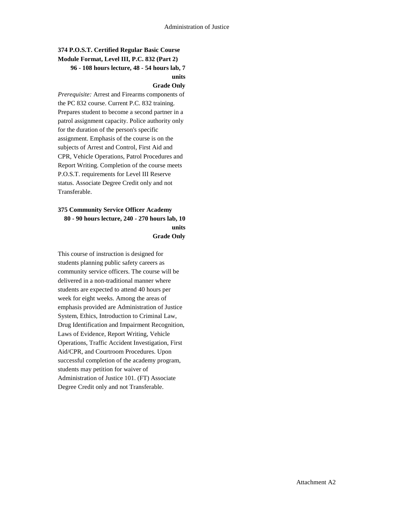# **374 P.O.S.T. Certified Regular Basic Course Module Format, Level III, P.C. 832 (Part 2) 96 - 108 hours lecture, 48 - 54 hours lab, 7 units**

#### **Grade Only**

*Prerequisite:* Arrest and Firearms components of the PC 832 course. Current P.C. 832 training. Prepares student to become a second partner in a patrol assignment capacity. Police authority only for the duration of the person's specific assignment. Emphasis of the course is on the subjects of Arrest and Control, First Aid and CPR, Vehicle Operations, Patrol Procedures and Report Writing. Completion of the course meets P.O.S.T. requirements for Level III Reserve status. Associate Degree Credit only and not Transferable.

# **375 Community Service Officer Academy 80 - 90 hours lecture, 240 - 270 hours lab, 10 units Grade Only**

This course of instruction is designed for students planning public safety careers as community service officers. The course will be delivered in a non-traditional manner where students are expected to attend 40 hours per week for eight weeks. Among the areas of emphasis provided are Administration of Justice System, Ethics, Introduction to Criminal Law, Drug Identification and Impairment Recognition, Laws of Evidence, Report Writing, Vehicle Operations, Traffic Accident Investigation, First Aid/CPR, and Courtroom Procedures. Upon successful completion of the academy program, students may petition for waiver of Administration of Justice 101. (FT) Associate Degree Credit only and not Transferable.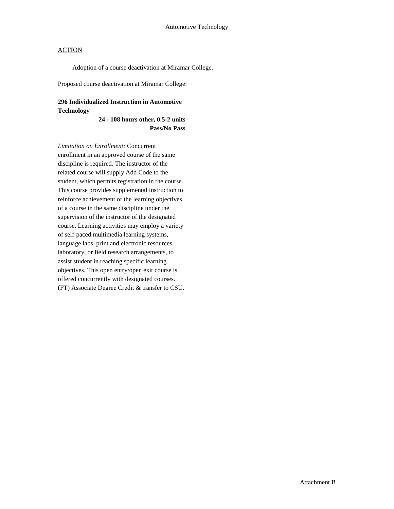Adoption of a course deactivation at Miramar College.

Proposed course deactivation at Miramar College:

# **296 Individualized Instruction in Automotive Technology**

**24 - 108 hours other, 0.5-2 units Pass/No Pass**

*Limitation on Enrollment:* Concurrent enrollment in an approved course of the same discipline is required. The instructor of the related course will supply Add Code to the student, which permits registration in the course. This course provides supplemental instruction to reinforce achievement of the learning objectives of a course in the same discipline under the supervision of the instructor of the designated course. Learning activities may employ a variety of self-paced multimedia learning systems, language labs, print and electronic resources, laboratory, or field research arrangements, to assist student in reaching specific learning objectives. This open entry/open exit course is offered concurrently with designated courses. (FT) Associate Degree Credit & transfer to CSU.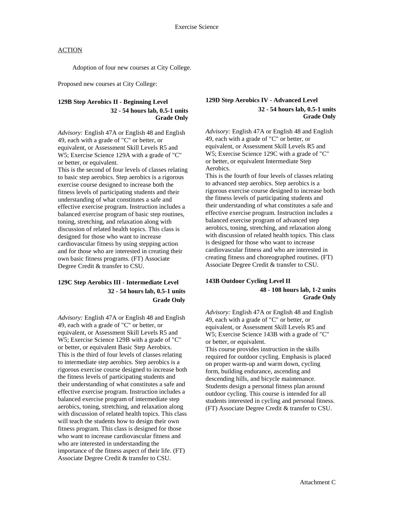Adoption of four new courses at City College.

Proposed new courses at City College:

## **129B Step Aerobics II - Beginning Level 32 - 54 hours lab, 0.5-1 units Grade Only**

*Advisory:* English 47A or English 48 and English 49, each with a grade of "C" or better, or equivalent, or Assessment Skill Levels R5 and W5; Exercise Science 129A with a grade of "C" or better, or equivalent.

This is the second of four levels of classes relating to basic step aerobics. Step aerobics is a rigorous exercise course designed to increase both the fitness levels of participating students and their understanding of what constitutes a safe and effective exercise program. Instruction includes a balanced exercise program of basic step routines, toning, stretching, and relaxation along with discussion of related health topics. This class is designed for those who want to increase cardiovascular fitness by using stepping action and for those who are interested in creating their own basic fitness programs. (FT) Associate Degree Credit & transfer to CSU.

# **129C Step Aerobics III - Intermediate Level 32 - 54 hours lab, 0.5-1 units Grade Only**

*Advisory:* English 47A or English 48 and English 49, each with a grade of "C" or better, or equivalent, or Assessment Skill Levels R5 and W5; Exercise Science 129B with a grade of "C" or better, or equivalent Basic Step Aerobics. This is the third of four levels of classes relating to intermediate step aerobics. Step aerobics is a rigorous exercise course designed to increase both the fitness levels of participating students and their understanding of what constitutes a safe and effective exercise program. Instruction includes a balanced exercise program of intermediate step aerobics, toning, stretching, and relaxation along with discussion of related health topics. This class will teach the students how to design their own fitness program. This class is designed for those who want to increase cardiovascular fitness and who are interested in understanding the importance of the fitness aspect of their life. (FT) Associate Degree Credit & transfer to CSU.

## **129D Step Aerobics IV - Advanced Level 32 - 54 hours lab, 0.5-1 units Grade Only**

*Advisory:* English 47A or English 48 and English 49, each with a grade of "C" or better, or equivalent, or Assessment Skill Levels R5 and W5; Exercise Science 129C with a grade of "C" or better, or equivalent Intermediate Step Aerobics.

This is the fourth of four levels of classes relating to advanced step aerobics. Step aerobics is a rigorous exercise course designed to increase both the fitness levels of participating students and their understanding of what constitutes a safe and effective exercise program. Instruction includes a balanced exercise program of advanced step aerobics, toning, stretching, and relaxation along with discussion of related health topics. This class is designed for those who want to increase cardiovascular fitness and who are interested in creating fitness and choreographed routines. (FT) Associate Degree Credit & transfer to CSU.

## **143B Outdoor Cycling Level II 48 - 108 hours lab, 1-2 units Grade Only**

*Advisory:* English 47A or English 48 and English 49, each with a grade of "C" or better, or equivalent, or Assessment Skill Levels R5 and W5; Exercise Science 143B with a grade of "C" or better, or equivalent. This course provides instruction in the skills required for outdoor cycling. Emphasis is placed on proper warm-up and warm down, cycling form, building endurance, ascending and descending hills, and bicycle maintenance. Students design a personal fitness plan around

outdoor cycling. This course is intended for all students interested in cycling and personal fitness. (FT) Associate Degree Credit & transfer to CSU.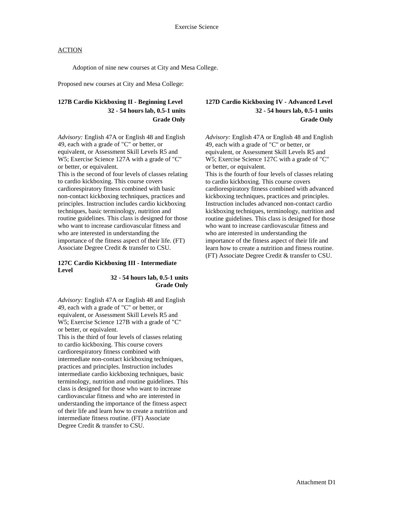Adoption of nine new courses at City and Mesa College.

Proposed new courses at City and Mesa College:

# **127B Cardio Kickboxing II - Beginning Level 32 - 54 hours lab, 0.5-1 units Grade Only**

*Advisory:* English 47A or English 48 and English 49, each with a grade of "C" or better, or equivalent, or Assessment Skill Levels R5 and W5; Exercise Science 127A with a grade of "C" or better, or equivalent.

This is the second of four levels of classes relating to cardio kickboxing. This course covers cardiorespiratory fitness combined with basic non-contact kickboxing techniques, practices and principles. Instruction includes cardio kickboxing techniques, basic terminology, nutrition and routine guidelines. This class is designed for those who want to increase cardiovascular fitness and who are interested in understanding the importance of the fitness aspect of their life. (FT) Associate Degree Credit & transfer to CSU.

## **127C Cardio Kickboxing III - Intermediate Level**

**32 - 54 hours lab, 0.5-1 units Grade Only** 

*Advisory:* English 47A or English 48 and English 49, each with a grade of "C" or better, or equivalent, or Assessment Skill Levels R5 and W5; Exercise Science 127B with a grade of "C" or better, or equivalent. This is the third of four levels of classes relating

to cardio kickboxing. This course covers cardiorespiratory fitness combined with intermediate non-contact kickboxing techniques, practices and principles. Instruction includes intermediate cardio kickboxing techniques, basic terminology, nutrition and routine guidelines. This class is designed for those who want to increase cardiovascular fitness and who are interested in understanding the importance of the fitness aspect of their life and learn how to create a nutrition and intermediate fitness routine. (FT) Associate Degree Credit & transfer to CSU.

# **127D Cardio Kickboxing IV - Advanced Level 32 - 54 hours lab, 0.5-1 units Grade Only**

*Advisory:* English 47A or English 48 and English 49, each with a grade of "C" or better, or equivalent, or Assessment Skill Levels R5 and W5; Exercise Science 127C with a grade of "C" or better, or equivalent.

This is the fourth of four levels of classes relating to cardio kickboxing. This course covers cardiorespiratory fitness combined with advanced kickboxing techniques, practices and principles. Instruction includes advanced non-contact cardio kickboxing techniques, terminology, nutrition and routine guidelines. This class is designed for those who want to increase cardiovascular fitness and who are interested in understanding the importance of the fitness aspect of their life and learn how to create a nutrition and fitness routine. (FT) Associate Degree Credit & transfer to CSU.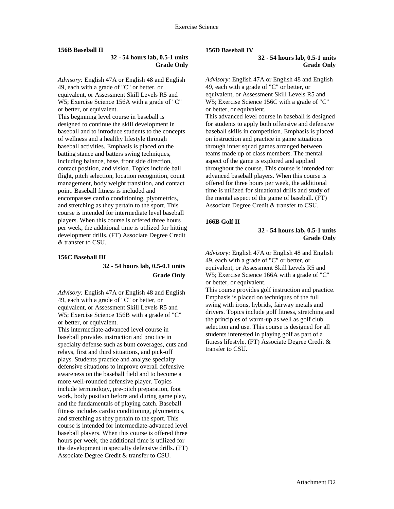#### **156B Baseball II**

## **32 - 54 hours lab, 0.5-1 units Grade Only**

*Advisory:* English 47A or English 48 and English 49, each with a grade of "C" or better, or equivalent, or Assessment Skill Levels R5 and W5; Exercise Science 156A with a grade of "C" or better, or equivalent.

This beginning level course in baseball is designed to continue the skill development in baseball and to introduce students to the concepts of wellness and a healthy lifestyle through baseball activities. Emphasis is placed on the batting stance and batters swing techniques, including balance, base, front side direction, contact position, and vision. Topics include ball flight, pitch selection, location recognition, count management, body weight transition, and contact point. Baseball fitness is included and encompasses cardio conditioning, plyometrics, and stretching as they pertain to the sport. This course is intended for intermediate level baseball players. When this course is offered three hours per week, the additional time is utilized for hitting development drills. (FT) Associate Degree Credit & transfer to CSU.

#### **156C Baseball III**

## **32 - 54 hours lab, 0.5-0.1 units Grade Only**

*Advisory:* English 47A or English 48 and English 49, each with a grade of "C" or better, or equivalent, or Assessment Skill Levels R5 and W5; Exercise Science 156B with a grade of "C" or better, or equivalent.

This intermediate-advanced level course in baseball provides instruction and practice in specialty defense such as bunt coverages, cuts and relays, first and third situations, and pick-off plays. Students practice and analyze specialty defensive situations to improve overall defensive awareness on the baseball field and to become a more well-rounded defensive player. Topics include terminology, pre-pitch preparation, foot work, body position before and during game play, and the fundamentals of playing catch. Baseball fitness includes cardio conditioning, plyometrics, and stretching as they pertain to the sport. This course is intended for intermediate-advanced level baseball players. When this course is offered three hours per week, the additional time is utilized for the development in specialty defensive drills. (FT) Associate Degree Credit & transfer to CSU.

#### **156D Baseball IV**

**32 - 54 hours lab, 0.5-1 units Grade Only**

*Advisory:* English 47A or English 48 and English 49, each with a grade of "C" or better, or equivalent, or Assessment Skill Levels R5 and W5; Exercise Science 156C with a grade of "C" or better, or equivalent. This advanced level course in baseball is designed

for students to apply both offensive and defensive baseball skills in competition. Emphasis is placed on instruction and practice in game situations through inner squad games arranged between teams made up of class members. The mental aspect of the game is explored and applied throughout the course. This course is intended for advanced baseball players. When this course is offered for three hours per week, the additional time is utilized for situational drills and study of the mental aspect of the game of baseball. (FT) Associate Degree Credit & transfer to CSU.

#### **166B Golf II**

#### **32 - 54 hours lab, 0.5-1 units Grade Only**

*Advisory:* English 47A or English 48 and English 49, each with a grade of "C" or better, or equivalent, or Assessment Skill Levels R5 and W5; Exercise Science 166A with a grade of "C" or better, or equivalent.

This course provides golf instruction and practice. Emphasis is placed on techniques of the full swing with irons, hybrids, fairway metals and drivers. Topics include golf fitness, stretching and the principles of warm-up as well as golf club selection and use. This course is designed for all students interested in playing golf as part of a fitness lifestyle. (FT) Associate Degree Credit & transfer to CSU.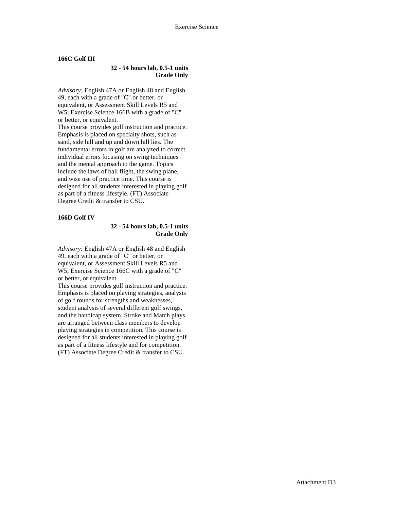#### **166C Golf III**

## **32 - 54 hours lab, 0.5-1 units Grade Only**

*Advisory:* English 47A or English 48 and English 49, each with a grade of "C" or better, or equivalent, or Assessment Skill Levels R5 and W5; Exercise Science 166B with a grade of "C" or better, or equivalent.

This course provides golf instruction and practice. Emphasis is placed on specialty shots, such as sand, side hill and up and down hill lies. The fundamental errors in golf are analyzed to correct individual errors focusing on swing techniques and the mental approach to the game. Topics include the laws of ball flight, the swing plane, and wise use of practice time. This course is designed for all students interested in playing golf as part of a fitness lifestyle. (FT) Associate Degree Credit & transfer to CSU.

#### **166D Golf IV**

## **32 - 54 hours lab, 0.5-1 units Grade Only**

*Advisory:* English 47A or English 48 and English 49, each with a grade of "C" or better, or equivalent, or Assessment Skill Levels R5 and W5; Exercise Science 166C with a grade of "C" or better, or equivalent.

This course provides golf instruction and practice. Emphasis is placed on playing strategies, analysis of golf rounds for strengths and weaknesses, student analysis of several different golf swings, and the handicap system. Stroke and Match plays are arranged between class members to develop playing strategies in competition. This course is designed for all students interested in playing golf as part of a fitness lifestyle and for competition. (FT) Associate Degree Credit & transfer to CSU.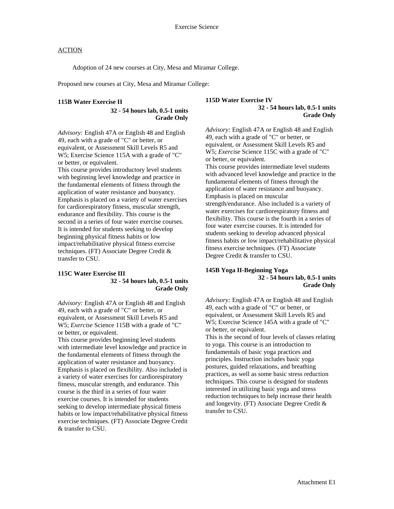Adoption of 24 new courses at City, Mesa and Miramar College.

Proposed new courses at City, Mesa and Miramar College:

## **115B Water Exercise II**

**32 - 54 hours lab, 0.5-1 units Grade Only** 

*Advisory:* English 47A or English 48 and English 49, each with a grade of "C" or better, or equivalent, or Assessment Skill Levels R5 and W5; Exercise Science 115A with a grade of "C" or better, or equivalent.

This course provides introductory level students with beginning level knowledge and practice in the fundamental elements of fitness through the application of water resistance and buoyancy. Emphasis is placed on a variety of water exercises for cardiorespiratory fitness, muscular strength, endurance and flexibility. This course is the second in a series of four water exercise courses. It is intended for students seeking to develop beginning physical fitness habits or low impact/rehabilitative physical fitness exercise techniques. (FT) Associate Degree Credit & transfer to CSU.

## **115C Water Exercise III 32 - 54 hours lab, 0.5-1 units Grade Only**

*Advisory:* English 47A or English 48 and English 49, each with a grade of "C" or better, or equivalent, or Assessment Skill Levels R5 and W5; *Exercise* Science 115B with a grade of "C" or better, or equivalent.

This course provides beginning level students with intermediate level knowledge and practice in the fundamental elements of fitness through the application of water resistance and buoyancy. Emphasis is placed on flexibility. Also included is a variety of water exercises for cardiorespiratory fitness, muscular strength, and endurance. This course is the third in a series of four water exercise courses. It is intended for students seeking to develop intermediate physical fitness habits or low impact/rehabilitative physical fitness exercise techniques. (FT) Associate Degree Credit & transfer to CSU.

## **115D Water Exercise IV 32 - 54 hours lab, 0.5-1 units Grade Only**

*Advisory:* English 47A or English 48 and English 49, each with a grade of "C" or better, or equivalent, or Assessment Skill Levels R5 and W5; *Exercise* Science 115C with a grade of "C" or better, or equivalent. This course provides intermediate level students with advanced level knowledge and practice in the fundamental elements of fitness through the application of water resistance and buoyancy. Emphasis is placed on muscular strength/endurance. Also included is a variety of water exercises for cardiorespiratory fitness and flexibility. This course is the fourth in a series of four water exercise courses. It is intended for students seeking to develop advanced physical fitness habits or low impact/rehabilitative physical fitness exercise techniques. (FT) Associate Degree Credit & transfer to CSU.

## **145B Yoga II-Beginning Yoga 32 - 54 hours lab, 0.5-1 units Grade Only**

*Advisory:* English 47A or English 48 and English 49, each with a grade of "C" or better, or equivalent, or Assessment Skill Levels R5 and W5; Exercise Science 145A with a grade of "C" or better, or equivalent. This is the second of four levels of classes relating to yoga. This course is an introduction to fundamentals of basic yoga practices and principles. Instruction includes basic yoga postures, guided relaxations, and breathing practices, as well as some basic stress reduction techniques. This course is designed for students interested in utilizing basic yoga and stress reduction techniques to help increase their health and longevity. (FT) Associate Degree Credit & transfer to CSU.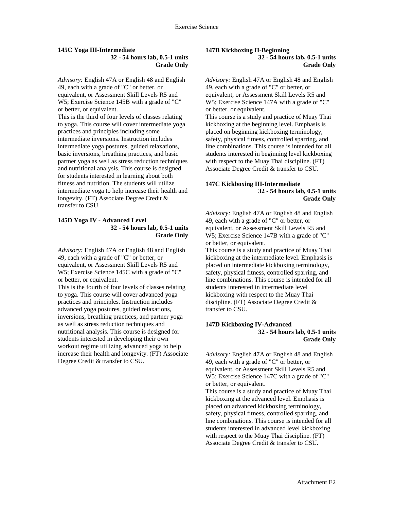#### **145C Yoga III-Intermediate 32 - 54 hours lab, 0.5-1 units Grade Only**

*Advisory:* English 47A or English 48 and English 49, each with a grade of "C" or better, or equivalent, or Assessment Skill Levels R5 and W5; Exercise Science 145B with a grade of "C" or better, or equivalent.

This is the third of four levels of classes relating to yoga. This course will cover intermediate yoga practices and principles including some intermediate inversions. Instruction includes intermediate yoga postures, guided relaxations, basic inversions, breathing practices, and basic partner yoga as well as stress reduction techniques and nutritional analysis. This course is designed for students interested in learning about both fitness and nutrition. The students will utilize intermediate yoga to help increase their health and longevity. (FT) Associate Degree Credit & transfer to CSU.

#### **145D Yoga IV - Advanced Level 32 - 54 hours lab, 0.5-1 units Grade Only**

*Advisory:* English 47A or English 48 and English 49, each with a grade of "C" or better, or equivalent, or Assessment Skill Levels R5 and W5; Exercise Science 145C with a grade of "C" or better, or equivalent.

This is the fourth of four levels of classes relating to yoga. This course will cover advanced yoga practices and principles. Instruction includes advanced yoga postures, guided relaxations, inversions, breathing practices, and partner yoga as well as stress reduction techniques and nutritional analysis. This course is designed for students interested in developing their own workout regime utilizing advanced yoga to help increase their health and longevity. (FT) Associate Degree Credit & transfer to CSU.

## **147B Kickboxing II-Beginning 32 - 54 hours lab, 0.5-1 units**

**Grade Only** 

*Advisory:* English 47A or English 48 and English 49, each with a grade of "C" or better, or equivalent, or Assessment Skill Levels R5 and W5; Exercise Science 147A with a grade of "C" or better, or equivalent. This course is a study and practice of Muay Thai kickboxing at the beginning level. Emphasis is

placed on beginning kickboxing terminology, safety, physical fitness, controlled sparring, and line combinations. This course is intended for all students interested in beginning level kickboxing with respect to the Muay Thai discipline. (FT) Associate Degree Credit & transfer to CSU.

## **147C Kickboxing III-Intermediate 32 - 54 hours lab, 0.5-1 units Grade Only**

*Advisory:* English 47A or English 48 and English 49, each with a grade of "C" or better, or equivalent, or Assessment Skill Levels R5 and W5; Exercise Science 147B with a grade of "C" or better, or equivalent.

This course is a study and practice of Muay Thai kickboxing at the intermediate level. Emphasis is placed on intermediate kickboxing terminology, safety, physical fitness, controlled sparring, and line combinations. This course is intended for all students interested in intermediate level kickboxing with respect to the Muay Thai discipline. (FT) Associate Degree Credit & transfer to CSU.

### **147D Kickboxing IV-Advanced 32 - 54 hours lab, 0.5-1 units Grade Only**

*Advisory:* English 47A or English 48 and English 49, each with a grade of "C" or better, or equivalent, or Assessment Skill Levels R5 and W5; Exercise Science 147C with a grade of "C" or better, or equivalent.

This course is a study and practice of Muay Thai kickboxing at the advanced level. Emphasis is placed on advanced kickboxing terminology, safety, physical fitness, controlled sparring, and line combinations. This course is intended for all students interested in advanced level kickboxing with respect to the Muay Thai discipline. (FT) Associate Degree Credit & transfer to CSU.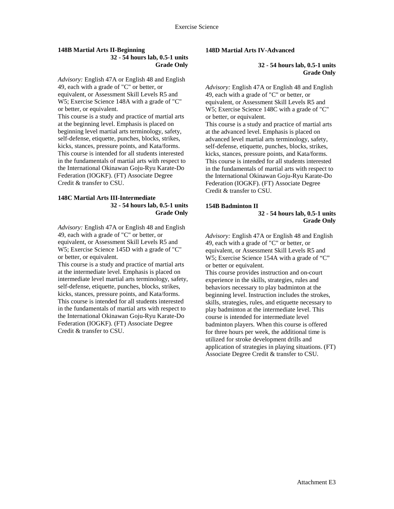### **148B Martial Arts II-Beginning 32 - 54 hours lab, 0.5-1 units Grade Only**

*Advisory:* English 47A or English 48 and English 49, each with a grade of "C" or better, or equivalent, or Assessment Skill Levels R5 and W5; Exercise Science 148A with a grade of "C" or better, or equivalent.

This course is a study and practice of martial arts at the beginning level. Emphasis is placed on beginning level martial arts terminology, safety, self-defense, etiquette, punches, blocks, strikes, kicks, stances, pressure points, and Kata/forms. This course is intended for all students interested in the fundamentals of martial arts with respect to the International Okinawan Goju-Ryu Karate-Do Federation (IOGKF). (FT) Associate Degree Credit & transfer to CSU.

### **148C Martial Arts III-Intermediate 32 - 54 hours lab, 0.5-1 units Grade Only**

*Advisory:* English 47A or English 48 and English 49, each with a grade of "C" or better, or equivalent, or Assessment Skill Levels R5 and W5; Exercise Science 145D with a grade of "C" or better, or equivalent.

This course is a study and practice of martial arts at the intermediate level. Emphasis is placed on intermediate level martial arts terminology, safety, self-defense, etiquette, punches, blocks, strikes, kicks, stances, pressure points, and Kata/forms. This course is intended for all students interested in the fundamentals of martial arts with respect to the International Okinawan Goju-Ryu Karate-Do Federation (IOGKF). (FT) Associate Degree Credit & transfer to CSU.

## **148D Martial Arts IV-Advanced**

**32 - 54 hours lab, 0.5-1 units Grade Only**

*Advisory:* English 47A or English 48 and English 49, each with a grade of "C" or better, or equivalent, or Assessment Skill Levels R5 and W5; Exercise Science 148C with a grade of "C" or better, or equivalent. This course is a study and practice of martial arts at the advanced level. Emphasis is placed on advanced level martial arts terminology, safety, self-defense, etiquette, punches, blocks, strikes, kicks, stances, pressure points, and Kata/forms. This course is intended for all students interested in the fundamentals of martial arts with respect to the International Okinawan Goju-Ryu Karate-Do Federation (IOGKF). (FT) Associate Degree Credit & transfer to CSU.

## **154B Badminton II**

## **32 - 54 hours lab, 0.5-1 units Grade Only**

*Advisory:* English 47A or English 48 and English 49, each with a grade of "C" or better, or equivalent, or Assessment Skill Levels R5 and W5; Exercise Science 154A with a grade of "C" or better or equivalent.

This course provides instruction and on-court experience in the skills, strategies, rules and behaviors necessary to play badminton at the beginning level. Instruction includes the strokes, skills, strategies, rules, and etiquette necessary to play badminton at the intermediate level. This course is intended for intermediate level badminton players. When this course is offered for three hours per week, the additional time is utilized for stroke development drills and application of strategies in playing situations. (FT) Associate Degree Credit & transfer to CSU.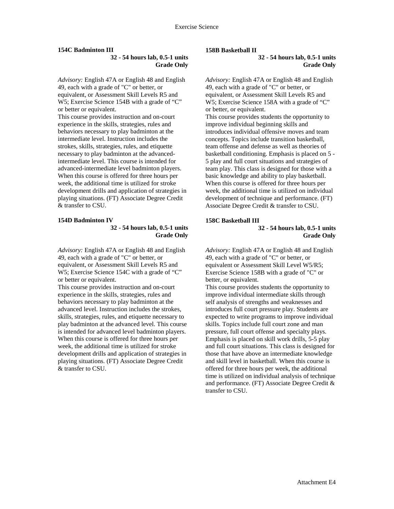### **154C Badminton III**

## **32 - 54 hours lab, 0.5-1 units Grade Only**

*Advisory:* English 47A or English 48 and English 49, each with a grade of "C" or better, or equivalent, or Assessment Skill Levels R5 and W5; Exercise Science 154B with a grade of "C" or better or equivalent.

This course provides instruction and on-court experience in the skills, strategies, rules and behaviors necessary to play badminton at the intermediate level. Instruction includes the strokes, skills, strategies, rules, and etiquette necessary to play badminton at the advancedintermediate level. This course is intended for advanced-intermediate level badminton players. When this course is offered for three hours per week, the additional time is utilized for stroke development drills and application of strategies in playing situations. (FT) Associate Degree Credit & transfer to CSU.

## **154D Badminton IV**

## **32 - 54 hours lab, 0.5-1 units Grade Only**

*Advisory:* English 47A or English 48 and English 49, each with a grade of "C" or better, or equivalent, or Assessment Skill Levels R5 and W5; Exercise Science 154C with a grade of "C" or better or equivalent.

This course provides instruction and on-court experience in the skills, strategies, rules and behaviors necessary to play badminton at the advanced level. Instruction includes the strokes, skills, strategies, rules, and etiquette necessary to play badminton at the advanced level. This course is intended for advanced level badminton players. When this course is offered for three hours per week, the additional time is utilized for stroke development drills and application of strategies in playing situations. (FT) Associate Degree Credit & transfer to CSU.

## **158B Basketball II**

**32 - 54 hours lab, 0.5-1 units Grade Only** 

*Advisory:* English 47A or English 48 and English 49, each with a grade of "C" or better, or equivalent, or Assessment Skill Levels R5 and W5; Exercise Science 158A with a grade of "C" or better, or equivalent. This course provides students the opportunity to improve individual beginning skills and introduces individual offensive moves and team concepts. Topics include transition basketball, team offense and defense as well as theories of basketball conditioning. Emphasis is placed on 5 - 5 play and full court situations and strategies of team play. This class is designed for those with a basic knowledge and ability to play basketball. When this course is offered for three hours per week, the additional time is utilized on individual development of technique and performance. (FT) Associate Degree Credit & transfer to CSU.

# **158C Basketball III**

#### **32 - 54 hours lab, 0.5-1 units Grade Only**

*Advisory:* English 47A or English 48 and English 49, each with a grade of "C" or better, or equivalent or Assessment Skill Level W5/R5; Exercise Science 158B with a grade of "C" or better, or equivalent.

This course provides students the opportunity to improve individual intermediate skills through self analysis of strengths and weaknesses and introduces full court pressure play. Students are expected to write programs to improve individual skills. Topics include full court zone and man pressure, full court offense and specialty plays. Emphasis is placed on skill work drills, 5-5 play and full court situations. This class is designed for those that have above an intermediate knowledge and skill level in basketball. When this course is offered for three hours per week, the additional time is utilized on individual analysis of technique and performance. (FT) Associate Degree Credit & transfer to CSU.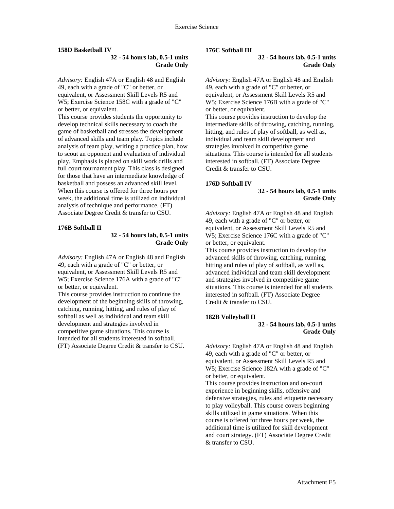#### **158D Basketball IV**

## **32 - 54 hours lab, 0.5-1 units Grade Only**

*Advisory:* English 47A or English 48 and English 49, each with a grade of "C" or better, or equivalent, or Assessment Skill Levels R5 and W5; Exercise Science 158C with a grade of "C" or better, or equivalent.

This course provides students the opportunity to develop technical skills necessary to coach the game of basketball and stresses the development of advanced skills and team play. Topics include analysis of team play, writing a practice plan, how to scout an opponent and evaluation of individual play. Emphasis is placed on skill work drills and full court tournament play. This class is designed for those that have an intermediate knowledge of basketball and possess an advanced skill level. When this course is offered for three hours per week, the additional time is utilized on individual analysis of technique and performance. (FT) Associate Degree Credit & transfer to CSU.

#### **176B Softball II**

## **32 - 54 hours lab, 0.5-1 units Grade Only**

*Advisory:* English 47A or English 48 and English 49, each with a grade of "C" or better, or equivalent, or Assessment Skill Levels R5 and W5; Exercise Science 176A with a grade of "C" or better, or equivalent.

This course provides instruction to continue the development of the beginning skills of throwing, catching, running, hitting, and rules of play of softball as well as individual and team skill development and strategies involved in competitive game situations. This course is intended for all students interested in softball. (FT) Associate Degree Credit & transfer to CSU.

#### **176C Softball III**

**32 - 54 hours lab, 0.5-1 units Grade Only** 

*Advisory:* English 47A or English 48 and English 49, each with a grade of "C" or better, or equivalent, or Assessment Skill Levels R5 and W5; Exercise Science 176B with a grade of "C" or better, or equivalent. This course provides instruction to develop the intermediate skills of throwing, catching, running, hitting, and rules of play of softball, as well as, individual and team skill development and strategies involved in competitive game situations. This course is intended for all students interested in softball. (FT) Associate Degree Credit & transfer to CSU.

#### **176D Softball IV**

#### **32 - 54 hours lab, 0.5-1 units Grade Only**

*Advisory:* English 47A or English 48 and English 49, each with a grade of "C" or better, or equivalent, or Assessment Skill Levels R5 and W5; Exercise Science 176C with a grade of "C" or better, or equivalent.

This course provides instruction to develop the advanced skills of throwing, catching, running, hitting and rules of play of softball, as well as, advanced individual and team skill development and strategies involved in competitive game situations. This course is intended for all students interested in softball. (FT) Associate Degree Credit & transfer to CSU.

#### **182B Volleyball II**

### **32 - 54 hours lab, 0.5-1 units Grade Only**

*Advisory:* English 47A or English 48 and English 49, each with a grade of "C" or better, or equivalent, or Assessment Skill Levels R5 and W5; Exercise Science 182A with a grade of "C" or better, or equivalent.

This course provides instruction and on-court experience in beginning skills, offensive and defensive strategies, rules and etiquette necessary to play volleyball. This course covers beginning skills utilized in game situations. When this course is offered for three hours per week, the additional time is utilized for skill development and court strategy. (FT) Associate Degree Credit & transfer to CSU.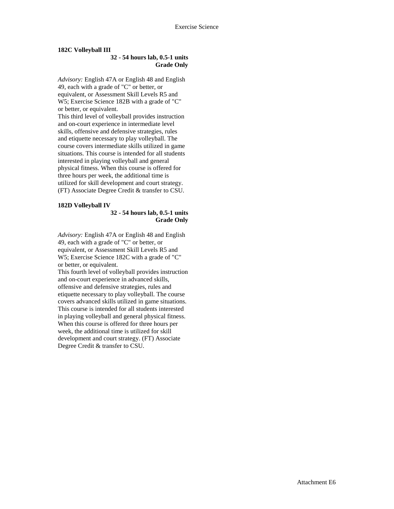## **182C Volleyball III**

## **32 - 54 hours lab, 0.5-1 units Grade Only**

*Advisory:* English 47A or English 48 and English 49, each with a grade of "C" or better, or equivalent, or Assessment Skill Levels R5 and W5; Exercise Science 182B with a grade of "C" or better, or equivalent. This third level of volleyball provides instruction and on-court experience in intermediate level skills, offensive and defensive strategies, rules and etiquette necessary to play volleyball. The course covers intermediate skills utilized in game situations. This course is intended for all students interested in playing volleyball and general physical fitness. When this course is offered for three hours per week, the additional time is utilized for skill development and court strategy. (FT) Associate Degree Credit & transfer to CSU.

## **182D Volleyball IV**

### **32 - 54 hours lab, 0.5-1 units Grade Only**

*Advisory:* English 47A or English 48 and English 49, each with a grade of "C" or better, or equivalent, or Assessment Skill Levels R5 and W5; Exercise Science 182C with a grade of "C" or better, or equivalent.

This fourth level of volleyball provides instruction and on-court experience in advanced skills, offensive and defensive strategies, rules and etiquette necessary to play volleyball. The course covers advanced skills utilized in game situations. This course is intended for all students interested in playing volleyball and general physical fitness. When this course is offered for three hours per week, the additional time is utilized for skill development and court strategy. (FT) Associate Degree Credit & transfer to CSU.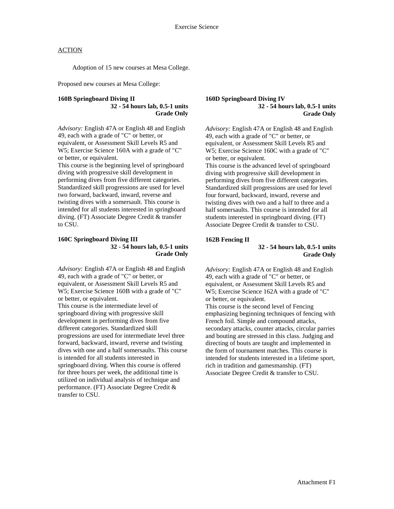Adoption of 15 new courses at Mesa College.

Proposed new courses at Mesa College:

### **160B Springboard Diving II 32 - 54 hours lab, 0.5-1 units Grade Only**

*Advisory:* English 47A or English 48 and English 49, each with a grade of "C" or better, or equivalent, or Assessment Skill Levels R5 and W5; Exercise Science 160A with a grade of "C" or better, or equivalent.

This course is the beginning level of springboard diving with progressive skill development in performing dives from five different categories. Standardized skill progressions are used for level two forward, backward, inward, reverse and twisting dives with a somersault. This course is intended for all students interested in springboard diving. (FT) Associate Degree Credit & transfer to CSU.

#### **160C Springboard Diving III 32 - 54 hours lab, 0.5-1 units Grade Only**

*Advisory:* English 47A or English 48 and English 49, each with a grade of "C" or better, or equivalent, or Assessment Skill Levels R5 and W5; Exercise Science 160B with a grade of "C" or better, or equivalent.

This course is the intermediate level of springboard diving with progressive skill development in performing dives from five different categories. Standardized skill progressions are used for intermediate level three forward, backward, inward, reverse and twisting dives with one and a half somersaults. This course is intended for all students interested in springboard diving. When this course is offered for three hours per week, the additional time is utilized on individual analysis of technique and performance. (FT) Associate Degree Credit & transfer to CSU.

### **160D Springboard Diving IV 32 - 54 hours lab, 0.5-1 units Grade Only**

*Advisory:* English 47A or English 48 and English 49, each with a grade of "C" or better, or equivalent, or Assessment Skill Levels R5 and W5; Exercise Science 160C with a grade of "C" or better, or equivalent.

This course is the advanced level of springboard diving with progressive skill development in performing dives from five different categories. Standardized skill progressions are used for level four forward, backward, inward, reverse and twisting dives with two and a half to three and a half somersaults. This course is intended for all students interested in springboard diving. (FT) Associate Degree Credit & transfer to CSU.

#### **162B Fencing II**

## **32 - 54 hours lab, 0.5-1 units Grade Only**

*Advisory:* English 47A or English 48 and English 49, each with a grade of "C" or better, or equivalent, or Assessment Skill Levels R5 and W5; Exercise Science 162A with a grade of "C" or better, or equivalent.

This course is the second level of Fencing emphasizing beginning techniques of fencing with French foil. Simple and compound attacks, secondary attacks, counter attacks, circular parries and bouting are stressed in this class. Judging and directing of bouts are taught and implemented in the form of tournament matches. This course is intended for students interested in a lifetime sport, rich in tradition and gamesmanship. (FT) Associate Degree Credit & transfer to CSU.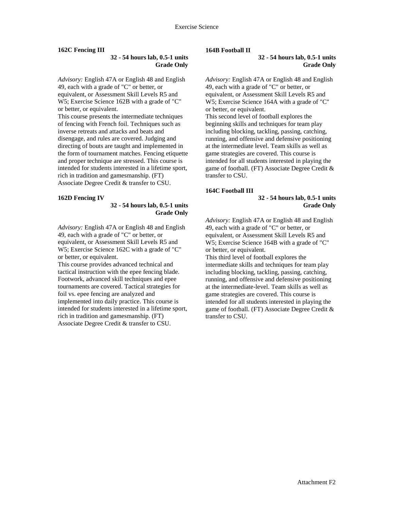## **162C Fencing III**

## **32 - 54 hours lab, 0.5-1 units Grade Only**

*Advisory:* English 47A or English 48 and English 49, each with a grade of "C" or better, or equivalent, or Assessment Skill Levels R5 and W5; Exercise Science 162B with a grade of "C" or better, or equivalent.

This course presents the intermediate techniques of fencing with French foil. Techniques such as inverse retreats and attacks and beats and disengage, and rules are covered. Judging and directing of bouts are taught and implemented in the form of tournament matches. Fencing etiquette and proper technique are stressed. This course is intended for students interested in a lifetime sport, rich in tradition and gamesmanship. (FT) Associate Degree Credit & transfer to CSU.

#### **162D Fencing IV**

## **32 - 54 hours lab, 0.5-1 units Grade Only**

*Advisory:* English 47A or English 48 and English 49, each with a grade of "C" or better, or equivalent, or Assessment Skill Levels R5 and W5; Exercise Science 162C with a grade of "C" or better, or equivalent.

This course provides advanced technical and tactical instruction with the epee fencing blade. Footwork, advanced skill techniques and epee tournaments are covered. Tactical strategies for foil vs. epee fencing are analyzed and implemented into daily practice. This course is intended for students interested in a lifetime sport, rich in tradition and gamesmanship. (FT) Associate Degree Credit & transfer to CSU.

#### **164B Football II**

#### **32 - 54 hours lab, 0.5-1 units Grade Only**

*Advisory:* English 47A or English 48 and English 49, each with a grade of "C" or better, or equivalent, or Assessment Skill Levels R5 and W5; Exercise Science 164A with a grade of "C" or better, or equivalent. This second level of football explores the beginning skills and techniques for team play including blocking, tackling, passing, catching, running, and offensive and defensive positioning at the intermediate level. Team skills as well as game strategies are covered. This course is intended for all students interested in playing the game of football. (FT) Associate Degree Credit & transfer to CSU.

#### **164C Football III**

## **32 - 54 hours lab, 0.5-1 units Grade Only**

*Advisory:* English 47A or English 48 and English 49, each with a grade of "C" or better, or equivalent, or Assessment Skill Levels R5 and W5; Exercise Science 164B with a grade of "C" or better, or equivalent.

This third level of football explores the intermediate skills and techniques for team play including blocking, tackling, passing, catching, running, and offensive and defensive positioning at the intermediate-level. Team skills as well as game strategies are covered. This course is intended for all students interested in playing the game of football. (FT) Associate Degree Credit & transfer to CSU.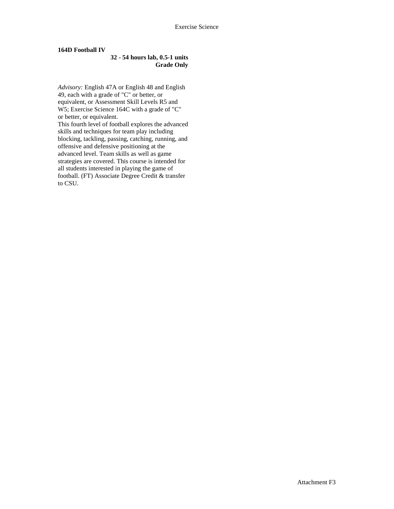## **164D Football IV**

## **32 - 54 hours lab, 0.5-1 units Grade Only**

*Advisory:* English 47A or English 48 and English 49, each with a grade of "C" or better, or equivalent, or Assessment Skill Levels R5 and W5; Exercise Science 164C with a grade of "C" or better, or equivalent. This fourth level of football explores the advanced skills and techniques for team play including blocking, tackling, passing, catching, running, and offensive and defensive positioning at the advanced level. Team skills as well as game strategies are covered. This course is intended for all students interested in playing the game of football. (FT) Associate Degree Credit & transfer to CSU.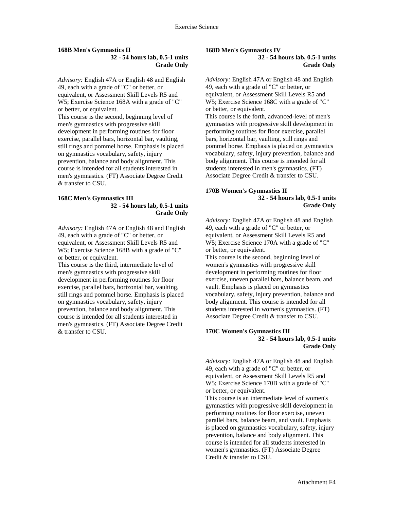#### **168B Men's Gymnastics II 32 - 54 hours lab, 0.5-1 units Grade Only**

*Advisory:* English 47A or English 48 and English 49, each with a grade of "C" or better, or equivalent, or Assessment Skill Levels R5 and W5; Exercise Science 168A with a grade of "C" or better, or equivalent. This course is the second, beginning level of men's gymnastics with progressive skill

development in performing routines for floor exercise, parallel bars, horizontal bar, vaulting, still rings and pommel horse. Emphasis is placed on gymnastics vocabulary, safety, injury prevention, balance and body alignment. This course is intended for all students interested in men's gymnastics. (FT) Associate Degree Credit & transfer to CSU.

#### **168C Men's Gymnastics III 32 - 54 hours lab, 0.5-1 units Grade Only**

*Advisory:* English 47A or English 48 and English 49, each with a grade of "C" or better, or equivalent, or Assessment Skill Levels R5 and W5; Exercise Science 168B with a grade of "C" or better, or equivalent.

This course is the third, intermediate level of men's gymnastics with progressive skill development in performing routines for floor exercise, parallel bars, horizontal bar, vaulting, still rings and pommel horse. Emphasis is placed on gymnastics vocabulary, safety, injury prevention, balance and body alignment. This course is intended for all students interested in men's gymnastics. (FT) Associate Degree Credit & transfer to CSU.

#### **168D Men's Gymnastics IV 32 - 54 hours lab, 0.5-1 units**

**Grade Only**

*Advisory:* English 47A or English 48 and English 49, each with a grade of "C" or better, or equivalent, or Assessment Skill Levels R5 and W5; Exercise Science 168C with a grade of "C" or better, or equivalent. This course is the forth, advanced-level of men's gymnastics with progressive skill development in performing routines for floor exercise, parallel bars, horizontal bar, vaulting, still rings and pommel horse. Emphasis is placed on gymnastics vocabulary, safety, injury prevention, balance and body alignment. This course is intended for all students interested in men's gymnastics. (FT) Associate Degree Credit & transfer to CSU.

### **170B Women's Gymnastics II 32 - 54 hours lab, 0.5-1 units Grade Only**

*Advisory:* English 47A or English 48 and English 49, each with a grade of "C" or better, or equivalent, or Assessment Skill Levels R5 and W5; Exercise Science 170A with a grade of "C" or better, or equivalent.

This course is the second, beginning level of women's gymnastics with progressive skill development in performing routines for floor exercise, uneven parallel bars, balance beam, and vault. Emphasis is placed on gymnastics vocabulary, safety, injury prevention, balance and body alignment. This course is intended for all students interested in women's gymnastics. (FT) Associate Degree Credit & transfer to CSU.

#### **170C Women's Gymnastics III 32 - 54 hours lab, 0.5-1 units Grade Only**

*Advisory:* English 47A or English 48 and English 49, each with a grade of "C" or better, or equivalent, or Assessment Skill Levels R5 and W5; Exercise Science 170B with a grade of "C" or better, or equivalent.

This course is an intermediate level of women's gymnastics with progressive skill development in performing routines for floor exercise, uneven parallel bars, balance beam, and vault. Emphasis is placed on gymnastics vocabulary, safety, injury prevention, balance and body alignment. This course is intended for all students interested in women's gymnastics. (FT) Associate Degree Credit & transfer to CSU.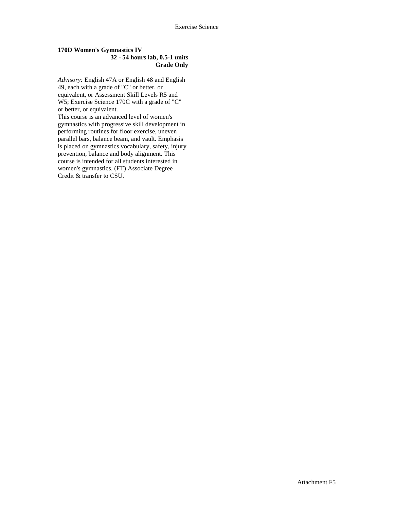## **170D Women's Gymnastics IV 32 - 54 hours lab, 0.5-1 units Grade Only**

*Advisory:* English 47A or English 48 and English 49, each with a grade of "C" or better, or equivalent, or Assessment Skill Levels R5 and W5; Exercise Science 170C with a grade of "C" or better, or equivalent.

This course is an advanced level of women's gymnastics with progressive skill development in performing routines for floor exercise, uneven parallel bars, balance beam, and vault. Emphasis is placed on gymnastics vocabulary, safety, injury prevention, balance and body alignment. This course is intended for all students interested in women's gymnastics. (FT) Associate Degree Credit & transfer to CSU.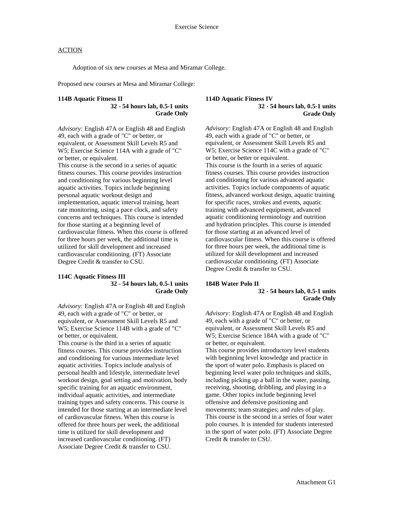Adoption of six new courses at Mesa and Miramar College.

Proposed new courses at Mesa and Miramar College:

# **114B Aquatic Fitness II**

**32 - 54 hours lab, 0.5-1 units Grade Only** 

*Advisory:* English 47A or English 48 and English 49, each with a grade of "C" or better, or equivalent, or Assessment Skill Levels R5 and W5; Exercise Science 114A with a grade of "C" or better, or equivalent.

This course is the second in a series of aquatic fitness courses. This course provides instruction and conditioning for various beginning level aquatic activities. Topics include beginning personal aquatic workout design and implementation, aquatic interval training, heart rate monitoring, using a pace clock, and safety concerns and techniques. This course is intended for those starting at a beginning level of cardiovascular fitness. When this course is offered for three hours per week, the additional time is utilized for skill development and increased cardiovascular conditioning. (FT) Associate Degree Credit & transfer to CSU.

#### **114C Aquatic Fitness III 32 - 54 hours lab, 0.5-1 units Grade Only**

*Advisory:* English 47A or English 48 and English 49, each with a grade of "C" or better, or equivalent, or Assessment Skill Levels R5 and W5; Exercise Science 114B with a grade of "C" or better, or equivalent.

This course is the third in a series of aquatic fitness courses. This course provides instruction and conditioning for various intermediate level aquatic activities. Topics include analysis of personal health and lifestyle, intermediate level workout design, goal setting and motivation, body specific training for an aquatic environment, individual aquatic activities, and intermediate training types and safety concerns. This course is intended for those starting at an intermediate level of cardiovascular fitness. When this course is offered for three hours per week, the additional time is utilized for skill development and increased cardiovascular conditioning. (FT) Associate Degree Credit & transfer to CSU.

#### **114D Aquatic Fitness IV 32 - 54 hours lab, 0.5-1 units Grade Only**

*Advisory:* English 47A or English 48 and English 49, each with a grade of "C" or better, or equivalent, or Assessment Skill Levels R5 and W5; Exercise Science 114C with a grade of "C" or better, or better or equivalent. This course is the fourth in a series of aquatic fitness courses. This course provides instruction and conditioning for various advanced aquatic activities. Topics include components of aquatic fitness, advanced workout design, aquatic training for specific races, strokes and events, aquatic training with advanced equipment, advanced aquatic conditioning terminology and nutrition and hydration principles. This course is intended for those starting at an advanced level of cardiovascular fitness. When this course is offered for three hours per week, the additional time is utilized for skill development and increased cardiovascular conditioning. (FT) Associate Degree Credit & transfer to CSU.

#### **184B Water Polo II**

**32 - 54 hours lab, 0.5-1 units Grade Only** 

*Advisory:* English 47A or English 48 and English 49, each with a grade of "C" or better, or equivalent, or Assessment Skill Levels R5 and W5; Exercise Science 184A with a grade of "C" or better, or equivalent. This course provides introductory level students

with beginning level knowledge and practice in the sport of water polo. Emphasis is placed on beginning level water polo techniques and skills, including picking up a ball in the water, passing, receiving, shooting, dribbling, and playing in a game. Other topics include beginning level offensive and defensive positioning and movements; team strategies; and rules of play. This course is the second in a series of four water polo courses. It is intended for students interested in the sport of water polo. (FT) Associate Degree Credit & transfer to CSU.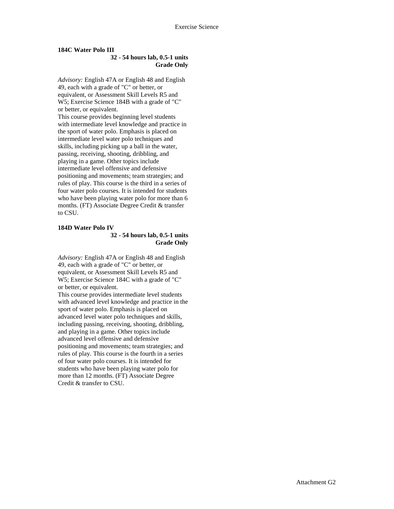#### **184C Water Polo III**

## **32 - 54 hours lab, 0.5-1 units Grade Only**

*Advisory:* English 47A or English 48 and English 49, each with a grade of "C" or better, or equivalent, or Assessment Skill Levels R5 and W5; Exercise Science 184B with a grade of "C" or better, or equivalent. This course provides beginning level students with intermediate level knowledge and practice in the sport of water polo. Emphasis is placed on intermediate level water polo techniques and skills, including picking up a ball in the water, passing, receiving, shooting, dribbling, and playing in a game. Other topics include intermediate level offensive and defensive positioning and movements; team strategies; and

rules of play. This course is the third in a series of four water polo courses. It is intended for students who have been playing water polo for more than 6 months. (FT) Associate Degree Credit & transfer to CSU.

### **184D Water Polo IV 32 - 54 hours lab, 0.5-1 units Grade Only**

*Advisory:* English 47A or English 48 and English 49, each with a grade of "C" or better, or equivalent, or Assessment Skill Levels R5 and W5; Exercise Science 184C with a grade of "C" or better, or equivalent.

This course provides intermediate level students with advanced level knowledge and practice in the sport of water polo. Emphasis is placed on advanced level water polo techniques and skills, including passing, receiving, shooting, dribbling, and playing in a game. Other topics include advanced level offensive and defensive positioning and movements; team strategies; and rules of play. This course is the fourth in a series of four water polo courses. It is intended for students who have been playing water polo for more than 12 months. (FT) Associate Degree Credit & transfer to CSU.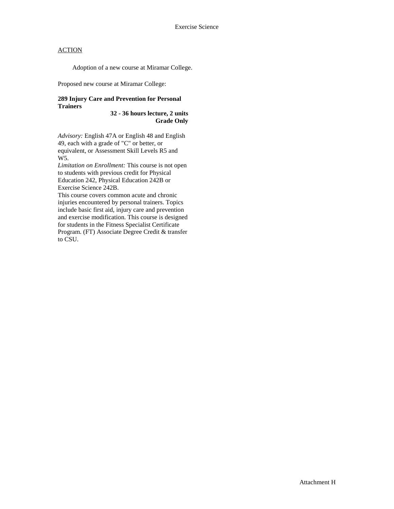Adoption of a new course at Miramar College.

Proposed new course at Miramar College:

## **289 Injury Care and Prevention for Personal Trainers**

**32 - 36 hours lecture, 2 units Grade Only** 

*Advisory:* English 47A or English 48 and English 49, each with a grade of "C" or better, or equivalent, or Assessment Skill Levels R5 and W5.

*Limitation on Enrollment:* This course is not open to students with previous credit for Physical Education 242, Physical Education 242B or Exercise Science 242B.

This course covers common acute and chronic injuries encountered by personal trainers. Topics include basic first aid, injury care and prevention and exercise modification. This course is designed for students in the Fitness Specialist Certificate Program. (FT) Associate Degree Credit & transfer to CSU.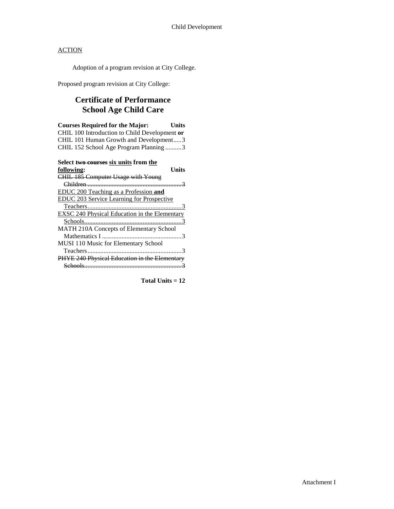Adoption of a program revision at City College.

Proposed program revision at City College:

# **Certificate of Performance School Age Child Care**

| <b>Courses Required for the Major:</b><br>Units<br>CHIL 100 Introduction to Child Development or<br>CHIL 101 Human Growth and Development3 |
|--------------------------------------------------------------------------------------------------------------------------------------------|
| CHIL 152 School Age Program Planning 3                                                                                                     |
| Select two courses six units from the                                                                                                      |
| Units<br>following:                                                                                                                        |
| <b>CHIL 185 Computer Usage with Young</b>                                                                                                  |
|                                                                                                                                            |
| EDUC 200 Teaching as a Profession and                                                                                                      |
| <b>EDUC 203 Service Learning for Prospective</b>                                                                                           |
|                                                                                                                                            |
| EXSC 240 Physical Education in the Elementary                                                                                              |
|                                                                                                                                            |
| MATH 210A Concepts of Elementary School                                                                                                    |
|                                                                                                                                            |
| MUSI 110 Music for Elementary School                                                                                                       |
|                                                                                                                                            |
| PHYE 240 Physical Education in the Elementary                                                                                              |

Schools............................................................3

**Total Units = 12**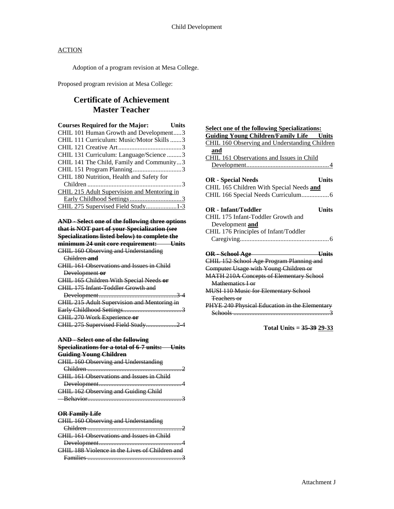Adoption of a program revision at Mesa College.

Proposed program revision at Mesa College:

# **Certificate of Achievement Master Teacher**

| <b>Courses Required for the Major:</b><br><b>Units</b> |  |
|--------------------------------------------------------|--|
| CHIL 101 Human Growth and Development3                 |  |
| CHIL 111 Curriculum: Music/Motor Skills 3              |  |
|                                                        |  |
| CHIL 131 Curriculum: Language/Science 3                |  |
| CHIL 141 The Child, Family and Community3              |  |
|                                                        |  |
| CHIL 180 Nutrition, Health and Safety for              |  |
|                                                        |  |
| CHIL 215 Adult Supervision and Mentoring in            |  |
|                                                        |  |
| CHIL 275 Supervised Field Study1-3                     |  |

|  | <b>AND - Select one of the following three options</b> |  |
|--|--------------------------------------------------------|--|
|  | that is NOT part of your Specialization (see           |  |

| <b>Specializations listed below) to complete the</b> |
|------------------------------------------------------|
| minimum 24 unit core requirement: Units              |
| <b>CHIL 160 Observing and Understanding</b>          |
| Children and                                         |
| CHIL 161 Observations and Issues in Child            |
| Development or                                       |
| CHIL 165 Children With Special Needs or              |
| CHIL 175 Infant Toddler Growth and                   |
|                                                      |
| CHIL 215 Adult Supervision and Mentoring in          |
|                                                      |
| CHIL 270 Work Experience or                          |
| CHIL 275 Supervised Field Study2 4                   |

| AND - Select one of the following                      |
|--------------------------------------------------------|
| <b>Specializations for a total of 6-7 units:</b> Units |
| <b>Guiding Young Children</b>                          |
| CHIL 160 Observing and Understanding                   |
|                                                        |
| CHIL 161 Observations and Issues in Child              |
|                                                        |
| CHIL 162 Observing and Guiding Child                   |
| <b>Reparies</b>                                        |

## **OR Family Life**

| <b>CHIL 160 Observing and Understanding</b>      |  |
|--------------------------------------------------|--|
|                                                  |  |
| <b>CHIL 161 Observations and Issues in Child</b> |  |
|                                                  |  |
|                                                  |  |
| CHIL 188 Violence in the Lives of Children and   |  |

| <b>Select one of the following Specializations:</b>  |
|------------------------------------------------------|
| <b>Guiding Young Children/Family Life Units</b>      |
| <b>CHIL 160 Observing and Understanding Children</b> |
| and                                                  |
| CHIL 161 Observations and Issues in Child            |
|                                                      |
|                                                      |
| <b>Units</b><br><b>OR</b> - Special Needs            |
| CHIL 165 Children With Special Needs and             |
|                                                      |
|                                                      |
| OR - Infant/Toddler<br>Units                         |
| CHIL 175 Infant-Toddler Growth and                   |
| Development and                                      |
| CHIL 176 Principles of Infant/Toddler                |
|                                                      |
|                                                      |
| OR - School Age --<br><u>Units</u>                   |
| CHIL 152 School Age Program Planning and             |
| Computer Usage with Young Children or                |
| <b>MATH 210A Concepts of Elementary School</b>       |
| Mathematics Lor                                      |
| <b>MUSI 110 Music for Elementary School</b>          |
| Teachers or                                          |
| PHYE 240 Physical Education in the Elementary        |
|                                                      |

**Total Units = 35-39 29-33**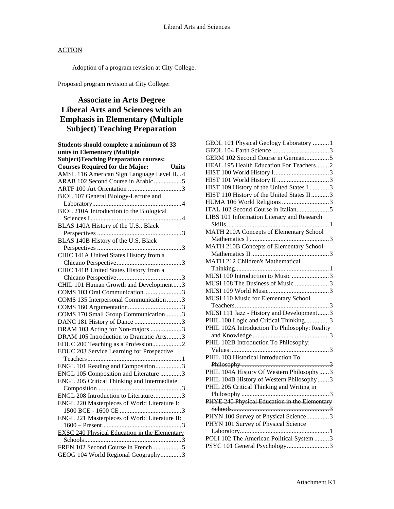Adoption of a program revision at City College.

Proposed program revision at City College:

# **Associate in Arts Degree Liberal Arts and Sciences with an Emphasis in Elementary (Multiple Subject) Teaching Preparation**

| Students should complete a minimum of 33               |
|--------------------------------------------------------|
| units in Elementary (Multiple                          |
| <b>Subject)Teaching Preparation courses:</b>           |
| <b>Courses Required for the Major:</b><br><b>Units</b> |
| AMSL 116 American Sign Language Level II4              |
| ARAB 102 Second Course in Arabic 5                     |
|                                                        |
| BIOL 107 General Biology-Lecture and                   |
|                                                        |
| BIOL 210A Introduction to the Biological               |
|                                                        |
| BLAS 140A History of the U.S., Black                   |
|                                                        |
| BLAS 140B History of the U.S, Black                    |
|                                                        |
| CHIC 141A United States History from a                 |
|                                                        |
| CHIC 141B United States History from a                 |
|                                                        |
| CHIL 101 Human Growth and Development3                 |
| COMS 103 Oral Communication3                           |
| COMS 135 Interpersonal Communication 3                 |
|                                                        |
| COMS 170 Small Group Communication3                    |
| DANC 181 History of Dance 3                            |
| DRAM 103 Acting for Non-majors 3                       |
| DRAM 105 Introduction to Dramatic Arts3                |
| EDUC 200 Teaching as a Profession2                     |
| EDUC 203 Service Learning for Prospective              |
|                                                        |
| ENGL 101 Reading and Composition3                      |
| ENGL 105 Composition and Literature 3                  |
| ENGL 205 Critical Thinking and Intermediate            |
|                                                        |
| ENGL 208 Introduction to Literature3                   |
| ENGL 220 Masterpieces of World Literature I:           |
|                                                        |
| ENGL 221 Masterpieces of World Literature II:          |
|                                                        |
| <b>EXSC 240 Physical Education in the Elementary</b>   |
|                                                        |
| FREN 102 Second Course in French5                      |
| GEOG 104 World Regional Geography3                     |

| GEOL 101 Physical Geology Laboratory  1       |  |
|-----------------------------------------------|--|
|                                               |  |
| GERM 102 Second Course in German5             |  |
| HEAL 195 Health Education For Teachers2       |  |
|                                               |  |
|                                               |  |
| HIST 109 History of the United States I 3     |  |
| HIST 110 History of the United States II 3    |  |
| HUMA 106 World Religions 3                    |  |
| ITAL 102 Second Course in Italian5            |  |
| LIBS 101 Information Literacy and Research    |  |
|                                               |  |
| MATH 210A Concepts of Elementary School       |  |
|                                               |  |
| MATH 210B Concepts of Elementary School       |  |
|                                               |  |
| MATH 212 Children's Mathematical              |  |
|                                               |  |
| MUSI 100 Introduction to Music 3              |  |
| MUSI 108 The Business of Music 3              |  |
|                                               |  |
| MUSI 110 Music for Elementary School          |  |
|                                               |  |
| MUSI 111 Jazz - History and Development3      |  |
| PHIL 100 Logic and Critical Thinking3         |  |
| PHIL 102A Introduction To Philosophy: Reality |  |
|                                               |  |
| PHIL 102B Introduction To Philosophy:         |  |
| 3                                             |  |
| PHIL 103 Historical Introduction To           |  |
|                                               |  |
| PHIL 104A History Of Western Philosophy  3    |  |
| PHIL 104B History of Western Philosophy3      |  |
| PHIL 205 Critical Thinking and Writing in     |  |
|                                               |  |
| PHYE 240 Physical Education in the Elementary |  |
|                                               |  |
| PHYN 100 Survey of Physical Science3          |  |
| PHYN 101 Survey of Physical Science           |  |
|                                               |  |
| POLI 102 The American Political System 3      |  |
| PSYC 101 General Psychology3                  |  |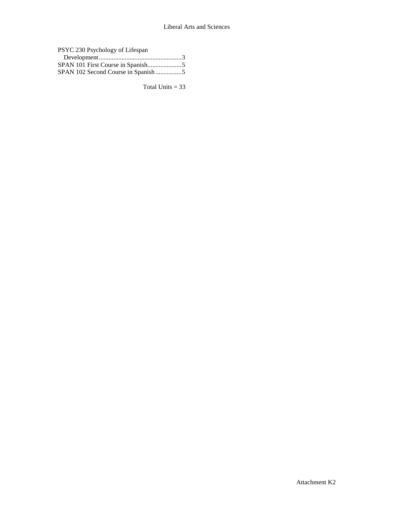| PSYC 230 Psychology of Lifespan    |  |
|------------------------------------|--|
|                                    |  |
|                                    |  |
| SPAN 102 Second Course in Spanish5 |  |

Total Units  $= 33$